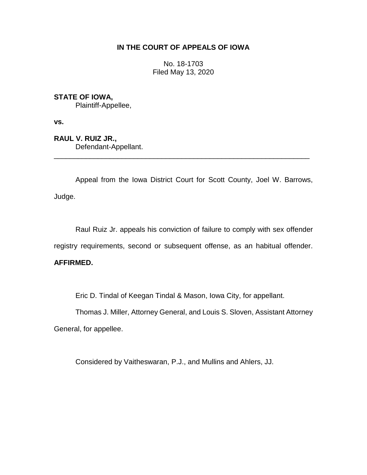# **IN THE COURT OF APPEALS OF IOWA**

No. 18-1703 Filed May 13, 2020

# **STATE OF IOWA,**

Plaintiff-Appellee,

**vs.**

**RAUL V. RUIZ JR.,** Defendant-Appellant.

Appeal from the Iowa District Court for Scott County, Joel W. Barrows, Judge.

\_\_\_\_\_\_\_\_\_\_\_\_\_\_\_\_\_\_\_\_\_\_\_\_\_\_\_\_\_\_\_\_\_\_\_\_\_\_\_\_\_\_\_\_\_\_\_\_\_\_\_\_\_\_\_\_\_\_\_\_\_\_\_\_

Raul Ruiz Jr. appeals his conviction of failure to comply with sex offender registry requirements, second or subsequent offense, as an habitual offender.

# **AFFIRMED.**

Eric D. Tindal of Keegan Tindal & Mason, Iowa City, for appellant.

Thomas J. Miller, Attorney General, and Louis S. Sloven, Assistant Attorney

General, for appellee.

Considered by Vaitheswaran, P.J., and Mullins and Ahlers, JJ.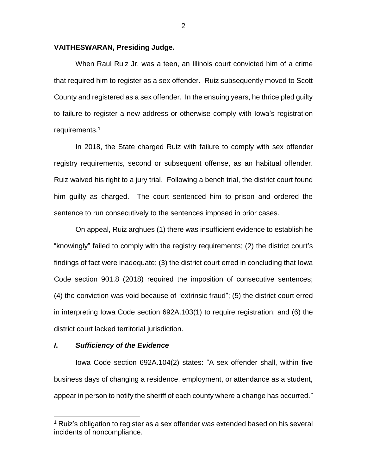#### **VAITHESWARAN, Presiding Judge.**

When Raul Ruiz Jr. was a teen, an Illinois court convicted him of a crime that required him to register as a sex offender. Ruiz subsequently moved to Scott County and registered as a sex offender. In the ensuing years, he thrice pled guilty to failure to register a new address or otherwise comply with Iowa's registration requirements.<sup>1</sup>

In 2018, the State charged Ruiz with failure to comply with sex offender registry requirements, second or subsequent offense, as an habitual offender. Ruiz waived his right to a jury trial. Following a bench trial, the district court found him guilty as charged. The court sentenced him to prison and ordered the sentence to run consecutively to the sentences imposed in prior cases.

On appeal, Ruiz arghues (1) there was insufficient evidence to establish he "knowingly" failed to comply with the registry requirements; (2) the district court's findings of fact were inadequate; (3) the district court erred in concluding that Iowa Code section 901.8 (2018) required the imposition of consecutive sentences; (4) the conviction was void because of "extrinsic fraud"; (5) the district court erred in interpreting Iowa Code section 692A.103(1) to require registration; and (6) the district court lacked territorial jurisdiction.

#### *I***.** *Sufficiency of the Evidence*

 $\overline{a}$ 

Iowa Code section 692A.104(2) states: "A sex offender shall, within five business days of changing a residence, employment, or attendance as a student, appear in person to notify the sheriff of each county where a change has occurred."

<sup>&</sup>lt;sup>1</sup> Ruiz's obligation to register as a sex offender was extended based on his several incidents of noncompliance.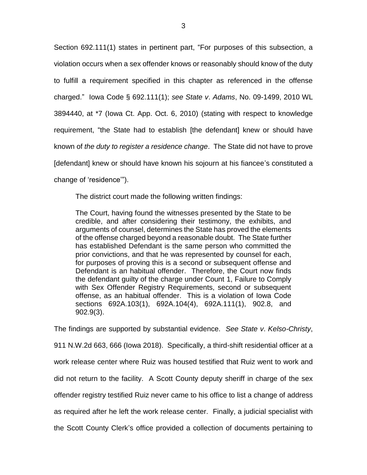Section 692.111(1) states in pertinent part, "For purposes of this subsection, a violation occurs when a sex offender knows or reasonably should know of the duty to fulfill a requirement specified in this chapter as referenced in the offense charged." Iowa Code § 692.111(1); *see State v*. *Adams*, No. 09-1499, 2010 WL 3894440, at \*7 (Iowa Ct. App. Oct. 6, 2010) (stating with respect to knowledge requirement, "the State had to establish [the defendant] knew or should have known of *the duty to register a residence change*. The State did not have to prove [defendant] knew or should have known his sojourn at his fiancee's constituted a change of 'residence'").

The district court made the following written findings:

The Court, having found the witnesses presented by the State to be credible, and after considering their testimony, the exhibits, and arguments of counsel, determines the State has proved the elements of the offense charged beyond a reasonable doubt. The State further has established Defendant is the same person who committed the prior convictions, and that he was represented by counsel for each, for purposes of proving this is a second or subsequent offense and Defendant is an habitual offender. Therefore, the Court now finds the defendant guilty of the charge under Count 1, Failure to Comply with Sex Offender Registry Requirements, second or subsequent offense, as an habitual offender. This is a violation of Iowa Code sections 692A.103(1), 692A.104(4), 692A.111(1), 902.8, and 902.9(3).

The findings are supported by substantial evidence. *See State v*. *Kelso-Christy*, 911 N.W.2d 663, 666 (Iowa 2018). Specifically, a third-shift residential officer at a work release center where Ruiz was housed testified that Ruiz went to work and did not return to the facility. A Scott County deputy sheriff in charge of the sex offender registry testified Ruiz never came to his office to list a change of address as required after he left the work release center. Finally, a judicial specialist with the Scott County Clerk's office provided a collection of documents pertaining to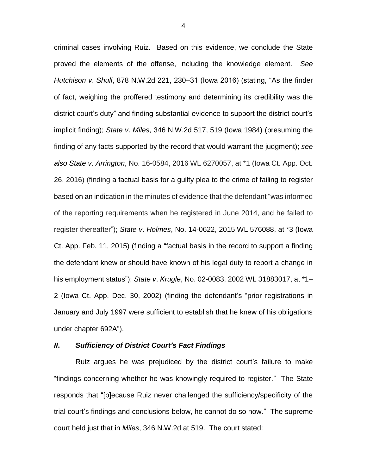criminal cases involving Ruiz. Based on this evidence, we conclude the State proved the elements of the offense, including the knowledge element. *See Hutchison v*. *Shull*, 878 N.W.2d 221, 230–31 (Iowa 2016) (stating, "As the finder of fact, weighing the proffered testimony and determining its credibility was the district court's duty" and finding substantial evidence to support the district court's implicit finding); *State v*. *Miles*, 346 N.W.2d 517, 519 (Iowa 1984) (presuming the finding of any facts supported by the record that would warrant the judgment); *see also State v*. *Arrington*, No. 16-0584, 2016 WL 6270057, at \*1 (Iowa Ct. App. Oct. 26, 2016) (finding a factual basis for a guilty plea to the crime of failing to register based on an indication in the minutes of evidence that the defendant "was informed of the reporting requirements when he registered in June 2014, and he failed to register thereafter"); *State v*. *Holmes*, No. 14-0622, 2015 WL 576088, at \*3 (Iowa Ct. App. Feb. 11, 2015) (finding a "factual basis in the record to support a finding the defendant knew or should have known of his legal duty to report a change in his employment status"); *State v*. *Krugle*, No. 02-0083, 2002 WL 31883017, at \*1– 2 (Iowa Ct. App. Dec. 30, 2002) (finding the defendant's "prior registrations in January and July 1997 were sufficient to establish that he knew of his obligations under chapter 692A").

### *II***.** *Sufficiency of District Court's Fact Findings*

Ruiz argues he was prejudiced by the district court's failure to make "findings concerning whether he was knowingly required to register." The State responds that "[b]ecause Ruiz never challenged the sufficiency/specificity of the trial court's findings and conclusions below, he cannot do so now." The supreme court held just that in *Miles*, 346 N.W.2d at 519. The court stated:

4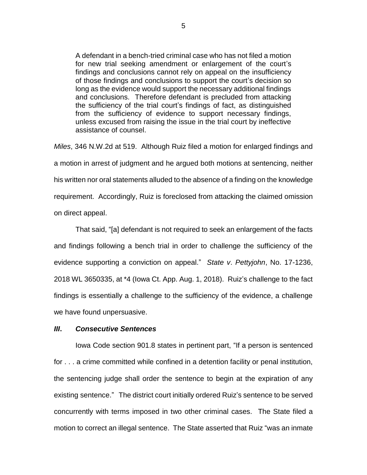A defendant in a bench-tried criminal case who has not filed a motion for new trial seeking amendment or enlargement of the court's findings and conclusions cannot rely on appeal on the insufficiency of those findings and conclusions to support the court's decision so long as the evidence would support the necessary additional findings and conclusions. Therefore defendant is precluded from attacking the sufficiency of the trial court's findings of fact, as distinguished from the sufficiency of evidence to support necessary findings, unless excused from raising the issue in the trial court by ineffective assistance of counsel.

*Miles*, 346 N.W.2d at 519. Although Ruiz filed a motion for enlarged findings and a motion in arrest of judgment and he argued both motions at sentencing, neither his written nor oral statements alluded to the absence of a finding on the knowledge requirement. Accordingly, Ruiz is foreclosed from attacking the claimed omission on direct appeal.

That said, "[a] defendant is not required to seek an enlargement of the facts and findings following a bench trial in order to challenge the sufficiency of the evidence supporting a conviction on appeal." *State v*. *Pettyjohn*, No. 17-1236, 2018 WL 3650335, at \*4 (Iowa Ct. App. Aug. 1, 2018). Ruiz's challenge to the fact findings is essentially a challenge to the sufficiency of the evidence, a challenge we have found unpersuasive.

#### *III***.** *Consecutive Sentences*

Iowa Code section 901.8 states in pertinent part, "If a person is sentenced for . . . a crime committed while confined in a detention facility or penal institution, the sentencing judge shall order the sentence to begin at the expiration of any existing sentence." The district court initially ordered Ruiz's sentence to be served concurrently with terms imposed in two other criminal cases. The State filed a motion to correct an illegal sentence. The State asserted that Ruiz "was an inmate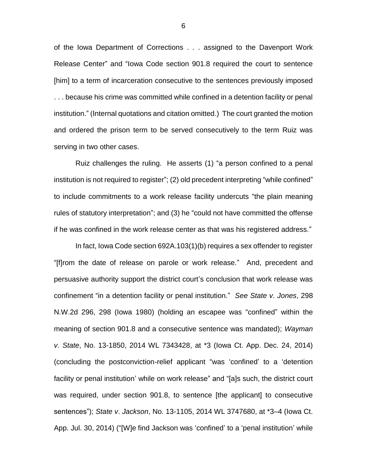of the Iowa Department of Corrections . . . assigned to the Davenport Work Release Center" and "Iowa Code section 901.8 required the court to sentence [him] to a term of incarceration consecutive to the sentences previously imposed . . . because his crime was committed while confined in a detention facility or penal institution." (Internal quotations and citation omitted.) The court granted the motion and ordered the prison term to be served consecutively to the term Ruiz was serving in two other cases.

Ruiz challenges the ruling. He asserts (1) "a person confined to a penal institution is not required to register"; (2) old precedent interpreting "while confined" to include commitments to a work release facility undercuts "the plain meaning rules of statutory interpretation"; and (3) he "could not have committed the offense if he was confined in the work release center as that was his registered address."

In fact, Iowa Code section 692A.103(1)(b) requires a sex offender to register "[f]rom the date of release on parole or work release." And, precedent and persuasive authority support the district court's conclusion that work release was confinement "in a detention facility or penal institution." *See State v*. *Jones*, 298 N.W.2d 296, 298 (Iowa 1980) (holding an escapee was "confined" within the meaning of section 901.8 and a consecutive sentence was mandated); *Wayman v*. *State*, No. 13-1850, 2014 WL 7343428, at \*3 (Iowa Ct. App. Dec. 24, 2014) (concluding the postconviction-relief applicant "was 'confined' to a 'detention facility or penal institution' while on work release" and "[a]s such, the district court was required, under section 901.8, to sentence [the applicant] to consecutive sentences"); *State v*. *Jackson*, No. 13-1105, 2014 WL 3747680, at \*3–4 (Iowa Ct. App. Jul. 30, 2014) ("[W]e find Jackson was 'confined' to a 'penal institution' while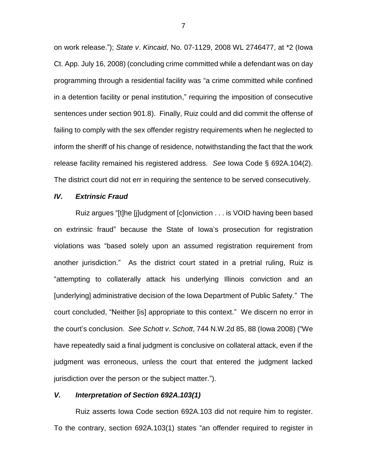on work release."); *State v*. *Kincaid*, No. 07-1129, 2008 WL 2746477, at \*2 (Iowa Ct. App. July 16, 2008) (concluding crime committed while a defendant was on day programming through a residential facility was "a crime committed while confined in a detention facility or penal institution," requiring the imposition of consecutive sentences under section 901.8). Finally, Ruiz could and did commit the offense of failing to comply with the sex offender registry requirements when he neglected to inform the sheriff of his change of residence, notwithstanding the fact that the work release facility remained his registered address. *See* Iowa Code § 692A.104(2). The district court did not err in requiring the sentence to be served consecutively.

### *IV. Extrinsic Fraud*

Ruiz argues "[t]he [j]udgment of [c]onviction . . . is VOID having been based on extrinsic fraud" because the State of Iowa's prosecution for registration violations was "based solely upon an assumed registration requirement from another jurisdiction." As the district court stated in a pretrial ruling, Ruiz is "attempting to collaterally attack his underlying Illinois conviction and an [underlying] administrative decision of the Iowa Department of Public Safety." The court concluded, "Neither [is] appropriate to this context." We discern no error in the court's conclusion. *See Schott v*. *Schott*, 744 N.W.2d 85, 88 (Iowa 2008) ("We have repeatedly said a final judgment is conclusive on collateral attack, even if the judgment was erroneous, unless the court that entered the judgment lacked jurisdiction over the person or the subject matter.").

## *V. Interpretation of Section 692A***.***103(1)*

Ruiz asserts Iowa Code section 692A.103 did not require him to register. To the contrary, section 692A.103(1) states "an offender required to register in